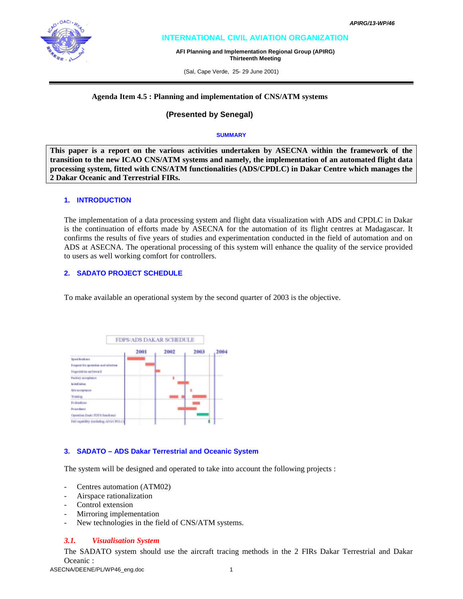# **INTERNATIONAL CIVIL AVIATION ORGANIZATION**

**AFI Planning and Implementation Regional Group (APIRG) Thirteenth Meeting** 

(Sal, Cape Verde, 25- 29 June 2001)

#### **Agenda Item 4.5 : Planning and implementation of CNS/ATM systems**

## **(Presented by Senegal)**

#### **SUMMARY**

**This paper is a report on the various activities undertaken by ASECNA within the framework of the transition to the new ICAO CNS/ATM systems and namely, the implementation of an automated flight data processing system, fitted with CNS/ATM functionalities (ADS/CPDLC) in Dakar Centre which manages the 2 Dakar Oceanic and Terrestrial FIRs.** 

#### **1. INTRODUCTION**

The implementation of a data processing system and flight data visualization with ADS and CPDLC in Dakar is the continuation of efforts made by ASECNA for the automation of its flight centres at Madagascar. It confirms the results of five years of studies and experimentation conducted in the field of automation and on ADS at ASECNA. The operational processing of this system will enhance the quality of the service provided to users as well working comfort for controllers.

#### **2. SADATO PROJECT SCHEDULE**

To make available an operational system by the second quarter of 2003 is the objective.



### **3. SADATO – ADS Dakar Terrestrial and Oceanic System**

The system will be designed and operated to take into account the following projects :

- Centres automation (ATM02)
- Airspace rationalization
- Control extension
- Mirroring implementation
- New technologies in the field of CNS/ATM systems.

#### *3.1. Visualisation System*

The SADATO system should use the aircraft tracing methods in the 2 FIRs Dakar Terrestrial and Dakar Oceanic :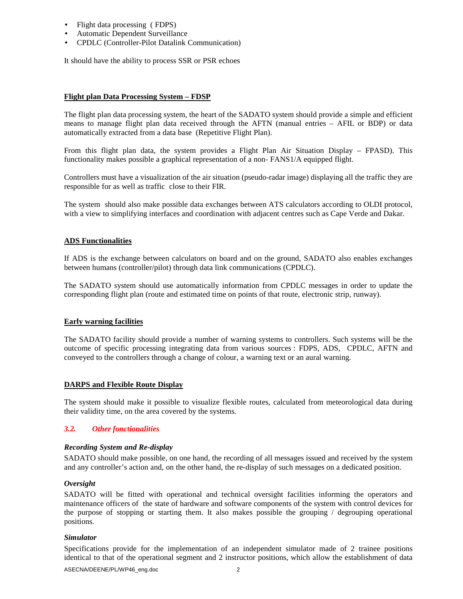- Flight data processing ( FDPS)
- Automatic Dependent Surveillance
- CPDLC (Controller-Pilot Datalink Communication)

It should have the ability to process SSR or PSR echoes

#### **Flight plan Data Processing System – FDSP**

The flight plan data processing system, the heart of the SADATO system should provide a simple and efficient means to manage flight plan data received through the AFTN (manual entries – AFIL or BDP) or data automatically extracted from a data base (Repetitive Flight Plan).

From this flight plan data, the system provides a Flight Plan Air Situation Display – FPASD). This functionality makes possible a graphical representation of a non- FANS1/A equipped flight.

Controllers must have a visualization of the air situation (pseudo-radar image) displaying all the traffic they are responsible for as well as traffic close to their FIR.

The system should also make possible data exchanges between ATS calculators according to OLDI protocol, with a view to simplifying interfaces and coordination with adjacent centres such as Cape Verde and Dakar.

### **ADS Functionalities**

If ADS is the exchange between calculators on board and on the ground, SADATO also enables exchanges between humans (controller/pilot) through data link communications (CPDLC).

The SADATO system should use automatically information from CPDLC messages in order to update the corresponding flight plan (route and estimated time on points of that route, electronic strip, runway).

### **Early warning facilities**

The SADATO facility should provide a number of warning systems to controllers. Such systems will be the outcome of specific processing integrating data from various sources : FDPS, ADS, CPDLC, AFTN and conveyed to the controllers through a change of colour, a warning text or an aural warning.

### **DARPS and Flexible Route Display**

The system should make it possible to visualize flexible routes, calculated from meteorological data during their validity time, on the area covered by the systems.

### *3.2. Other fonctionalities*

### *Recording System and Re-display*

SADATO should make possible, on one hand, the recording of all messages issued and received by the system and any controller's action and, on the other hand, the re-display of such messages on a dedicated position.

### *Oversight*

SADATO will be fitted with operational and technical oversight facilities informing the operators and maintenance officers of the state of hardware and software components of the system with control devices for the purpose of stopping or starting them. It also makes possible the grouping / degrouping operational positions.

#### *Simulator*

Specifications provide for the implementation of an independent simulator made of 2 trainee positions identical to that of the operational segment and 2 instructor positions, which allow the establishment of data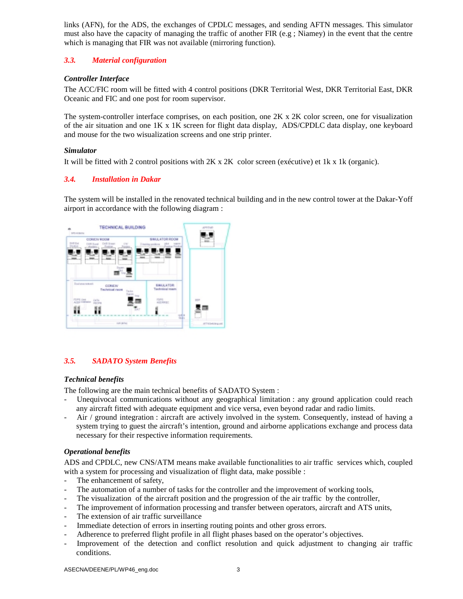links (AFN), for the ADS, the exchanges of CPDLC messages, and sending AFTN messages. This simulator must also have the capacity of managing the traffic of another FIR (e.g ; Niamey) in the event that the centre which is managing that FIR was not available (mirroring function).

# *3.3. Material configuration*

# *Controller Interface*

The ACC/FIC room will be fitted with 4 control positions (DKR Territorial West, DKR Territorial East, DKR Oceanic and FIC and one post for room supervisor.

The system-controller interface comprises, on each position, one 2K x 2K color screen, one for visualization of the air situation and one 1K x 1K screen for flight data display, ADS/CPDLC data display, one keyboard and mouse for the two wisualization screens and one strip printer.

# *Simulator*

It will be fitted with 2 control positions with 2K x 2K color screen (exécutive) et 1k x 1k (organic).

# *3.4. Installation in Dakar*

The system will be installed in the renovated technical building and in the new control tower at the Dakar-Yoff airport in accordance with the following diagram :



# *3.5. SADATO System Benefits*

### *Technical benefits*

The following are the main technical benefits of SADATO System :

- Unequivocal communications without any geographical limitation : any ground application could reach any aircraft fitted with adequate equipment and vice versa, even beyond radar and radio limits.
- Air / ground integration : aircraft are actively involved in the system. Consequently, instead of having a system trying to guest the aircraft's intention, ground and airborne applications exchange and process data necessary for their respective information requirements.

### *Operational benefits*

ADS and CPDLC, new CNS/ATM means make available functionalities to air traffic services which, coupled with a system for processing and visualization of flight data, make possible :

- The enhancement of safety,
- The automation of a number of tasks for the controller and the improvement of working tools,
- The visualization of the aircraft position and the progression of the air traffic by the controller,
- The improvement of information processing and transfer between operators, aircraft and ATS units,
- The extension of air traffic surveillance
- Immediate detection of errors in inserting routing points and other gross errors.
- Adherence to preferred flight profile in all flight phases based on the operator's objectives.
- Improvement of the detection and conflict resolution and quick adjustment to changing air traffic conditions.